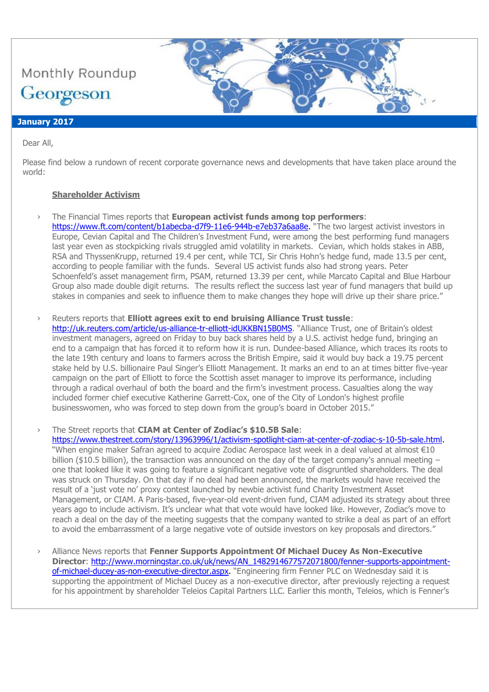

#### **January 2017**

Dear All,

Please find below a rundown of recent corporate governance news and developments that have taken place around the world:

## **Shareholder Activism**

- › The Financial Times reports that **European activist funds among top performers**:
	- [https://www.ft.com/content/b1abecba-d7f9-11e6-944b-e7eb37a6aa8e.](https://www.ft.com/content/b1abecba-d7f9-11e6-944b-e7eb37a6aa8e) "The two largest activist investors in Europe, Cevian Capital and The Children's Investment Fund, were among the best performing fund managers last year even as stockpicking rivals struggled amid volatility in markets. Cevian, which holds stakes in ABB, RSA and ThyssenKrupp, returned 19.4 per cent, while TCI, Sir Chris Hohn's hedge fund, made 13.5 per cent, according to people familiar with the funds. Several US activist funds also had strong years. Peter Schoenfeld's asset management firm, PSAM, returned 13.39 per cent, while Marcato Capital and Blue Harbour Group also made double digit returns. The results reflect the success last year of fund managers that build up stakes in companies and seek to influence them to make changes they hope will drive up their share price."
- › Reuters reports that **Elliott agrees exit to end bruising Alliance Trust tussle**:

<http://uk.reuters.com/article/us-alliance-tr-elliott-idUKKBN15B0MS>. "Alliance Trust, one of Britain's oldest investment managers, agreed on Friday to buy back shares held by a U.S. activist hedge fund, bringing an end to a campaign that has forced it to reform how it is run. Dundee-based Alliance, which traces its roots to the late 19th century and loans to farmers across the British Empire, said it would buy back a 19.75 percent stake held by U.S. billionaire Paul Singer's Elliott Management. It marks an end to an at times bitter five-year campaign on the part of Elliott to force the Scottish asset manager to improve its performance, including through a radical overhaul of both the board and the firm's investment process. Casualties along the way included former chief executive Katherine Garrett-Cox, one of the City of London's highest profile businesswomen, who was forced to step down from the group's board in October 2015."

› The Street reports that **CIAM at Center of Zodiac's \$10.5B Sale**:

[https://www.thestreet.com/story/13963996/1/activism-spotlight-ciam-at-center-of-zodiac-s-10-5b-sale.html.](https://www.thestreet.com/story/13963996/1/activism-spotlight-ciam-at-center-of-zodiac-s-10-5b-sale.html) "When engine maker Safran agreed to acquire Zodiac Aerospace last week in a deal valued at almost €10 billion (\$10.5 billion), the transaction was announced on the day of the target company's annual meeting  $$ one that looked like it was going to feature a significant negative vote of disgruntled shareholders. The deal was struck on Thursday. On that day if no deal had been announced, the markets would have received the result of a 'just vote no' proxy contest launched by newbie activist fund Charity Investment Asset Management, or CIAM. A Paris-based, five-year-old event-driven fund, CIAM adjusted its strategy about three years ago to include activism. It's unclear what that vote would have looked like. However, Zodiac's move to reach a deal on the day of the meeting suggests that the company wanted to strike a deal as part of an effort to avoid the embarrassment of a large negative vote of outside investors on key proposals and directors."

Alliance News reports that **Fenner Supports Appointment Of Michael Ducey As Non-Executive Director**: [http://www.morningstar.co.uk/uk/news/AN\\_1482914677572071800/fenner-supports-appointment](http://www.morningstar.co.uk/uk/news/AN_1482914677572071800/fenner-supports-appointment-of-michael-ducey-as-non-executive-director.aspx)[of-michael-ducey-as-non-executive-director.aspx.](http://www.morningstar.co.uk/uk/news/AN_1482914677572071800/fenner-supports-appointment-of-michael-ducey-as-non-executive-director.aspx) "Engineering firm Fenner PLC on Wednesday said it is supporting the appointment of Michael Ducey as a non-executive director, after previously rejecting a request for his appointment by shareholder Teleios Capital Partners LLC. Earlier this month, Teleios, which is Fenner's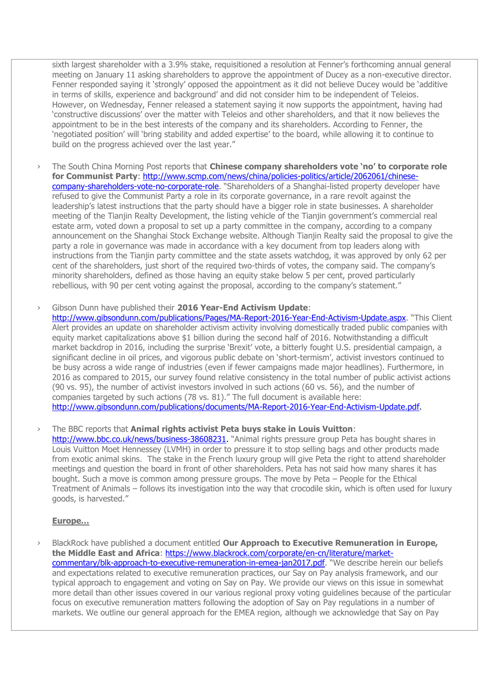sixth largest shareholder with a 3.9% stake, requisitioned a resolution at Fenner's forthcoming annual general meeting on January 11 asking shareholders to approve the appointment of Ducey as a non-executive director. Fenner responded saying it 'strongly' opposed the appointment as it did not believe Ducey would be 'additive in terms of skills, experience and background' and did not consider him to be independent of Teleios. However, on Wednesday, Fenner released a statement saying it now supports the appointment, having had 'constructive discussions' over the matter with Teleios and other shareholders, and that it now believes the appointment to be in the best interests of the company and its shareholders. According to Fenner, the 'negotiated position' will 'bring stability and added expertise' to the board, while allowing it to continue to build on the progress achieved over the last year."

The South China Morning Post reports that **Chinese company shareholders vote 'no' to corporate role for Communist Party**: [http://www.scmp.com/news/china/policies-politics/article/2062061/chinese](http://www.scmp.com/news/china/policies-politics/article/2062061/chinese-company-shareholders-vote-no-corporate-role)[company-shareholders-vote-no-corporate-role](http://www.scmp.com/news/china/policies-politics/article/2062061/chinese-company-shareholders-vote-no-corporate-role). "Shareholders of a Shanghai-listed property developer have refused to give the Communist Party a role in its corporate governance, in a rare revolt against the leadership's latest instructions that the party should have a bigger role in state businesses. A shareholder meeting of the Tianjin Realty Development, the listing vehicle of the Tianjin government's commercial real estate arm, voted down a proposal to set up a party committee in the company, according to a company announcement on the Shanghai Stock Exchange website. Although Tianjin Realty said the proposal to give the party a role in governance was made in accordance with a key document from top leaders along with instructions from the Tianjin party committee and the state assets watchdog, it was approved by only 62 per cent of the shareholders, just short of the required two-thirds of votes, the company said. The company's minority shareholders, defined as those having an equity stake below 5 per cent, proved particularly rebellious, with 90 per cent voting against the proposal, according to the company's statement."

› Gibson Dunn have published their **2016 Year-End Activism Update**:

<http://www.gibsondunn.com/publications/Pages/MA-Report-2016-Year-End-Activism-Update.aspx>. "This Client Alert provides an update on shareholder activism activity involving domestically traded public companies with equity market capitalizations above \$1 billion during the second half of 2016. Notwithstanding a difficult market backdrop in 2016, including the surprise 'Brexit' vote, a bitterly fought U.S. presidential campaign, a significant decline in oil prices, and vigorous public debate on 'short-termism', activist investors continued to be busy across a wide range of industries (even if fewer campaigns made major headlines). Furthermore, in 2016 as compared to 2015, our survey found relative consistency in the total number of public activist actions (90 vs. 95), the number of activist investors involved in such actions (60 vs. 56), and the number of companies targeted by such actions (78 vs. 81)." The full document is available here: [http://www.gibsondunn.com/publications/documents/MA-Report-2016-Year-End-Activism-Update.pdf.](http://www.gibsondunn.com/publications/documents/MA-Report-2016-Year-End-Activism-Update.pdf)

› The BBC reports that **Animal rights activist Peta buys stake in Louis Vuitton**:

[http://www.bbc.co.uk/news/business-38608231.](http://www.bbc.co.uk/news/business-38608231) "Animal rights pressure group Peta has bought shares in Louis Vuitton Moet Hennessey (LVMH) in order to pressure it to stop selling bags and other products made from exotic animal skins. The stake in the French luxury group will give Peta the right to attend shareholder meetings and question the board in front of other shareholders. Peta has not said how many shares it has bought. Such a move is common among pressure groups. The move by Peta – People for the Ethical Treatment of Animals – follows its investigation into the way that crocodile skin, which is often used for luxury goods, is harvested."

# **Europe…**

› BlackRock have published a document entitled **Our Approach to Executive Remuneration in Europe, the Middle East and Africa**: [https://www.blackrock.com/corporate/en-cn/literature/market](https://www.blackrock.com/corporate/en-cn/literature/market-commentary/blk-approach-to-executive-remuneration-in-emea-jan2017.pdf)[commentary/blk-approach-to-executive-remuneration-in-emea-jan2017.pdf](https://www.blackrock.com/corporate/en-cn/literature/market-commentary/blk-approach-to-executive-remuneration-in-emea-jan2017.pdf). "We describe herein our beliefs and expectations related to executive remuneration practices, our Say on Pay analysis framework, and our typical approach to engagement and voting on Say on Pay. We provide our views on this issue in somewhat more detail than other issues covered in our various regional proxy voting guidelines because of the particular focus on executive remuneration matters following the adoption of Say on Pay regulations in a number of markets. We outline our general approach for the EMEA region, although we acknowledge that Say on Pay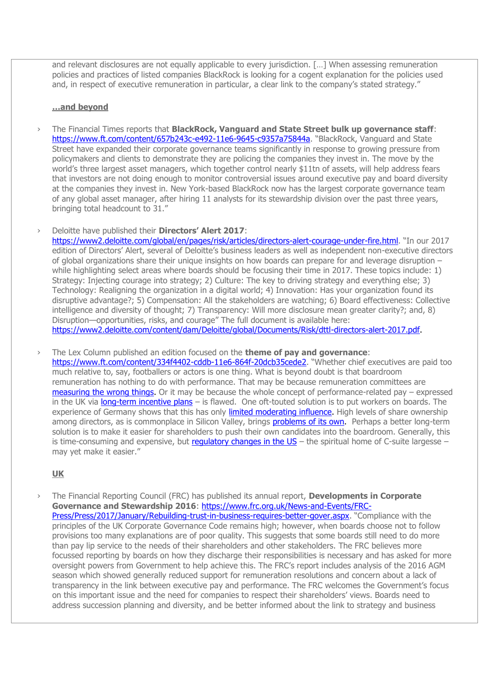and relevant disclosures are not equally applicable to every jurisdiction. […] When assessing remuneration policies and practices of listed companies BlackRock is looking for a cogent explanation for the policies used and, in respect of executive remuneration in particular, a clear link to the company's stated strategy."

## **…and beyond**

- › The Financial Times reports that **BlackRock, Vanguard and State Street bulk up governance staff**: <https://www.ft.com/content/657b243c-e492-11e6-9645-c9357a75844a>. "BlackRock, Vanguard and State Street have expanded their corporate governance teams significantly in response to growing pressure from policymakers and clients to demonstrate they are policing the companies they invest in. The move by the world's three largest asset managers, which together control nearly \$11tn of assets, will help address fears that investors are not doing enough to monitor controversial issues around executive pay and board diversity at the companies they invest in. New York-based BlackRock now has the largest corporate governance team of any global asset manager, after hiring 11 analysts for its stewardship division over the past three years, bringing total headcount to 31."
- › Deloitte have published their **Directors' Alert 2017**:

<https://www2.deloitte.com/global/en/pages/risk/articles/directors-alert-courage-under-fire.html>. "In our 2017 edition of Directors' Alert, several of Deloitte's business leaders as well as independent non-executive directors of global organizations share their unique insights on how boards can prepare for and leverage disruption – while highlighting select areas where boards should be focusing their time in 2017. These topics include: 1) Strategy: Injecting courage into strategy; 2) Culture: The key to driving strategy and everything else; 3) Technology: Realigning the organization in a digital world; 4) Innovation: Has your organization found its disruptive advantage?; 5) Compensation: All the stakeholders are watching; 6) Board effectiveness: Collective intelligence and diversity of thought; 7) Transparency: Will more disclosure mean greater clarity?; and, 8) Disruption—opportunities, risks, and courage" The full document is available here: [https://www2.deloitte.com/content/dam/Deloitte/global/Documents/Risk/dttl-directors-alert-2017.pdf.](https://www2.deloitte.com/content/dam/Deloitte/global/Documents/Risk/dttl-directors-alert-2017.pdf)

› The Lex Column published an edition focused on the **theme of pay and governance**:

<https://www.ft.com/content/334f4402-cddb-11e6-864f-20dcb35cede2>. "Whether chief executives are paid too much relative to, say, footballers or actors is one thing. What is beyond doubt is that boardroom remuneration has nothing to do with performance. That may be because remuneration committees are [measuring the wrong things.](https://www.ft.com/content/327afaea-c155-11e6-9bca-2b93a6856354) Or it may be because the whole concept of performance-related pay – expressed in the UK via [long-term incentive plans](https://www.ft.com/content/e344df7c-c90b-11e6-8f29-9445cac8966f) – is flawed. One oft-touted solution is to put workers on boards. The experience of Germany shows that this has only *limited moderating influence*. High levels of share ownership among directors, as is commonplace in Silicon Valley, brings [problems of its own.](https://www.ft.com/content/7d0ad3ec-cd52-11e6-864f-20dcb35cede2) Perhaps a better long-term solution is to make it easier for shareholders to push their own candidates into the boardroom. Generally, this is time-consuming and expensive, but regulatory changes in the  $US -$  the spiritual home of C-suite largesse – may yet make it easier."

## **UK**

› The Financial Reporting Council (FRC) has published its annual report, **Developments in Corporate Governance and Stewardship 2016**: [https://www.frc.org.uk/News-and-Events/FRC-](https://www.frc.org.uk/News-and-Events/FRC-Press/Press/2017/January/Rebuilding-trust-in-business-requires-better-gover.aspx)[Press/Press/2017/January/Rebuilding-trust-in-business-requires-better-gover.aspx](https://www.frc.org.uk/News-and-Events/FRC-Press/Press/2017/January/Rebuilding-trust-in-business-requires-better-gover.aspx). "Compliance with the principles of the UK Corporate Governance Code remains high; however, when boards choose not to follow provisions too many explanations are of poor quality. This suggests that some boards still need to do more than pay lip service to the needs of their shareholders and other stakeholders. The FRC believes more focussed reporting by boards on how they discharge their responsibilities is necessary and has asked for more oversight powers from Government to help achieve this. The FRC's report includes analysis of the 2016 AGM season which showed generally reduced support for remuneration resolutions and concern about a lack of transparency in the link between executive pay and performance. The FRC welcomes the Government's focus on this important issue and the need for companies to respect their shareholders' views. Boards need to address succession planning and diversity, and be better informed about the link to strategy and business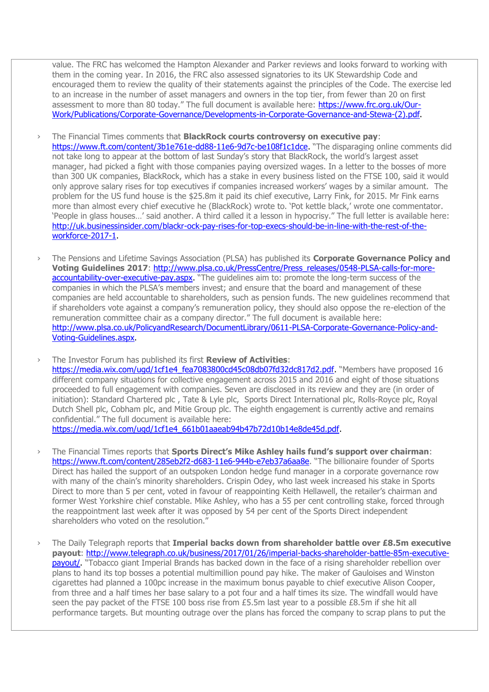value. The FRC has welcomed the Hampton Alexander and Parker reviews and looks forward to working with them in the coming year. In 2016, the FRC also assessed signatories to its UK Stewardship Code and encouraged them to review the quality of their statements against the principles of the Code. The exercise led to an increase in the number of asset managers and owners in the top tier, from fewer than 20 on first assessment to more than 80 today." The full document is available here: [https://www.frc.org.uk/Our-](https://www.frc.org.uk/Our-Work/Publications/Corporate-Governance/Developments-in-Corporate-Governance-and-Stewa-(2).pdf)[Work/Publications/Corporate-Governance/Developments-in-Corporate-Governance-and-Stewa-\(2\).pdf.](https://www.frc.org.uk/Our-Work/Publications/Corporate-Governance/Developments-in-Corporate-Governance-and-Stewa-(2).pdf)

- › The Financial Times comments that **BlackRock courts controversy on executive pay**: [https://www.ft.com/content/3b1e761e-dd88-11e6-9d7c-be108f1c1dce.](https://www.ft.com/content/3b1e761e-dd88-11e6-9d7c-be108f1c1dce) "The disparaging online comments did not take long to appear at the bottom of last Sunday's story that BlackRock, the world's largest asset manager, had picked a fight with those companies paying oversized wages. In a letter to the bosses of more than 300 UK companies, BlackRock, which has a stake in every business listed on the FTSE 100, said it would only approve salary rises for top executives if companies increased workers' wages by a similar amount. The problem for the US fund house is the \$25.8m it paid its chief executive, Larry Fink, for 2015. Mr Fink earns more than almost every chief executive he (BlackRock) wrote to. 'Pot kettle black,' wrote one commentator. 'People in glass houses…' said another. A third called it a lesson in hypocrisy." The full letter is available here: [http://uk.businessinsider.com/blackr-ock-pay-rises-for-top-execs-should-be-in-line-with-the-rest-of-the](http://uk.businessinsider.com/blackr-ock-pay-rises-for-top-execs-should-be-in-line-with-the-rest-of-the-workforce-2017-1)[workforce-2017-1.](http://uk.businessinsider.com/blackr-ock-pay-rises-for-top-execs-should-be-in-line-with-the-rest-of-the-workforce-2017-1)
- › The Pensions and Lifetime Savings Association (PLSA) has published its **Corporate Governance Policy and**  Voting Guidelines 2017: [http://www.plsa.co.uk/PressCentre/Press\\_releases/0548-PLSA-calls-for-more](http://www.plsa.co.uk/PressCentre/Press_releases/0548-PLSA-calls-for-more-accountability-over-executive-pay.aspx)[accountability-over-executive-pay.aspx.](http://www.plsa.co.uk/PressCentre/Press_releases/0548-PLSA-calls-for-more-accountability-over-executive-pay.aspx) "The guidelines aim to: promote the long-term success of the companies in which the PLSA's members invest; and ensure that the board and management of these companies are held accountable to shareholders, such as pension funds. The new guidelines recommend that if shareholders vote against a company's remuneration policy, they should also oppose the re-election of the remuneration committee chair as a company director." The full document is available here: [http://www.plsa.co.uk/PolicyandResearch/DocumentLibrary/0611-PLSA-Corporate-Governance-Policy-and-](http://www.plsa.co.uk/PolicyandResearch/DocumentLibrary/0611-PLSA-Corporate-Governance-Policy-and-Voting-Guidelines.aspx)[Voting-Guidelines.aspx.](http://www.plsa.co.uk/PolicyandResearch/DocumentLibrary/0611-PLSA-Corporate-Governance-Policy-and-Voting-Guidelines.aspx)

› The Investor Forum has published its first **Review of Activities**: [https://media.wix.com/ugd/1cf1e4\\_fea7083800cd45c08db07fd32dc817d2.pdf.](https://media.wix.com/ugd/1cf1e4_fea7083800cd45c08db07fd32dc817d2.pdf) "Members have proposed 16 different company situations for collective engagement across 2015 and 2016 and eight of those situations proceeded to full engagement with companies. Seven are disclosed in its review and they are (in order of initiation): Standard Chartered plc , Tate & Lyle plc, Sports Direct International plc, Rolls-Royce plc, Royal Dutch Shell plc, Cobham plc, and Mitie Group plc. The eighth engagement is currently active and remains confidential." The full document is available here: [https://media.wix.com/ugd/1cf1e4\\_661b01aaeab94b47b72d10b14e8de45d.pdf.](https://media.wix.com/ugd/1cf1e4_661b01aaeab94b47b72d10b14e8de45d.pdf)

- › The Financial Times reports that **Sports Direct's Mike Ashley hails fund's support over chairman**: [https://www.ft.com/content/285eb2f2-d683-11e6-944b-e7eb37a6aa8e.](https://www.ft.com/content/285eb2f2-d683-11e6-944b-e7eb37a6aa8e) "The billionaire founder of Sports Direct has hailed the support of an outspoken London hedge fund manager in a corporate governance row with many of the chain's minority shareholders. Crispin Odey, who last week increased his stake in Sports Direct to more than 5 per cent, voted in favour of reappointing Keith Hellawell, the retailer's chairman and former West Yorkshire chief constable. Mike Ashley, who has a 55 per cent controlling stake, forced through the reappointment last week after it was opposed by 54 per cent of the Sports Direct independent shareholders who voted on the resolution."
- The Daily Telegraph reports that *Imperial backs down from shareholder battle over £8.5m executive* **payout**: [http://www.telegraph.co.uk/business/2017/01/26/imperial-backs-shareholder-battle-85m-executive](http://www.telegraph.co.uk/business/2017/01/26/imperial-backs-shareholder-battle-85m-executive-payout/)[payout/.](http://www.telegraph.co.uk/business/2017/01/26/imperial-backs-shareholder-battle-85m-executive-payout/) "Tobacco giant Imperial Brands has backed down in the face of a rising shareholder rebellion over plans to hand its top bosses a potential multimillion pound pay hike. The maker of Gauloises and Winston cigarettes had planned a 100pc increase in the maximum bonus payable to chief executive Alison Cooper, from three and a half times her base salary to a pot four and a half times its size. The windfall would have seen the pay packet of the FTSE 100 boss rise from £5.5m last year to a possible £8.5m if she hit all performance targets. But mounting outrage over the plans has forced the company to scrap plans to put the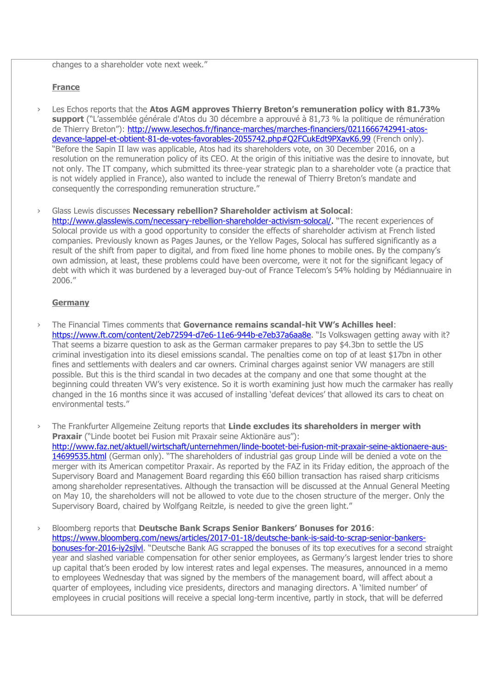changes to a shareholder vote next week."

## **France**

Les Echos reports that the Atos AGM approves Thierry Breton's remuneration policy with 81.73% **support** ("L'assemblée générale d'Atos du 30 décembre a approuvé à 81,73 % la politique de rémunération de Thierry Breton"): [http://www.lesechos.fr/finance-marches/marches-financiers/0211666742941-atos](http://www.lesechos.fr/finance-marches/marches-financiers/0211666742941-atos-devance-lappel-et-obtient-81-de-votes-favorables-2055742.php#Q2FCukEdt9PXavK6.99)[devance-lappel-et-obtient-81-de-votes-favorables-2055742.php#Q2FCukEdt9PXavK6.99](http://www.lesechos.fr/finance-marches/marches-financiers/0211666742941-atos-devance-lappel-et-obtient-81-de-votes-favorables-2055742.php#Q2FCukEdt9PXavK6.99) (French only). "Before the Sapin II law was applicable, Atos had its shareholders vote, on 30 December 2016, on a resolution on the remuneration policy of its CEO. At the origin of this initiative was the desire to innovate, but not only. The IT company, which submitted its three-year strategic plan to a shareholder vote (a practice that is not widely applied in France), also wanted to include the renewal of Thierry Breton's mandate and consequently the corresponding remuneration structure."

› Glass Lewis discusses **Necessary rebellion? Shareholder activism at Solocal**: [http://www.glasslewis.com/necessary-rebellion-shareholder-activism-solocal/.](http://www.glasslewis.com/necessary-rebellion-shareholder-activism-solocal/) "The recent experiences of Solocal provide us with a good opportunity to consider the effects of shareholder activism at French listed companies. Previously known as Pages Jaunes, or the Yellow Pages, Solocal has suffered significantly as a result of the shift from paper to digital, and from fixed line home phones to mobile ones. By the company's own admission, at least, these problems could have been overcome, were it not for the significant legacy of debt with which it was burdened by a leveraged buy-out of France Telecom's 54% holding by Médiannuaire in 2006."

## **Germany**

- › The Financial Times comments that **Governance remains scandal-hit VW's Achilles heel**: <https://www.ft.com/content/2eb72594-d7e6-11e6-944b-e7eb37a6aa8e>. "Is Volkswagen getting away with it? That seems a bizarre question to ask as the German carmaker prepares to pay \$4.3bn to settle the US criminal investigation into its diesel emissions scandal. The penalties come on top of at least \$17bn in other fines and settlements with dealers and car owners. Criminal charges against senior VW managers are still possible. But this is the third scandal in two decades at the company and one that some thought at the beginning could threaten VW's very existence. So it is worth examining just how much the carmaker has really changed in the 16 months since it was accused of installing 'defeat devices' that allowed its cars to cheat on environmental tests."
- › The Frankfurter Allgemeine Zeitung reports that **Linde excludes its shareholders in merger with Praxair** ("Linde bootet bei Fusion mit Praxair seine Aktionäre aus"): [http://www.faz.net/aktuell/wirtschaft/unternehmen/linde-bootet-bei-fusion-mit-praxair-seine-aktionaere-aus-](http://www.faz.net/aktuell/wirtschaft/unternehmen/linde-bootet-bei-fusion-mit-praxair-seine-aktionaere-aus-14699535.html)[14699535.html](http://www.faz.net/aktuell/wirtschaft/unternehmen/linde-bootet-bei-fusion-mit-praxair-seine-aktionaere-aus-14699535.html) (German only). "The shareholders of industrial gas group Linde will be denied a vote on the merger with its American competitor Praxair. As reported by the FAZ in its Friday edition, the approach of the Supervisory Board and Management Board regarding this €60 billion transaction has raised sharp criticisms among shareholder representatives. Although the transaction will be discussed at the Annual General Meeting on May 10, the shareholders will not be allowed to vote due to the chosen structure of the merger. Only the Supervisory Board, chaired by Wolfgang Reitzle, is needed to give the green light."
- › Bloomberg reports that **Deutsche Bank Scraps Senior Bankers' Bonuses for 2016**: [https://www.bloomberg.com/news/articles/2017-01-18/deutsche-bank-is-said-to-scrap-senior-bankers](https://www.bloomberg.com/news/articles/2017-01-18/deutsche-bank-is-said-to-scrap-senior-bankers-bonuses-for-2016-iy2sjlvl)[bonuses-for-2016-iy2sjlvl](https://www.bloomberg.com/news/articles/2017-01-18/deutsche-bank-is-said-to-scrap-senior-bankers-bonuses-for-2016-iy2sjlvl). "Deutsche Bank AG scrapped the bonuses of its top executives for a second straight year and slashed variable compensation for other senior employees, as Germany's largest lender tries to shore up capital that's been eroded by low interest rates and legal expenses. The measures, announced in a memo to employees Wednesday that was signed by the members of the management board, will affect about a quarter of employees, including vice presidents, directors and managing directors. A 'limited number' of employees in crucial positions will receive a special long-term incentive, partly in stock, that will be deferred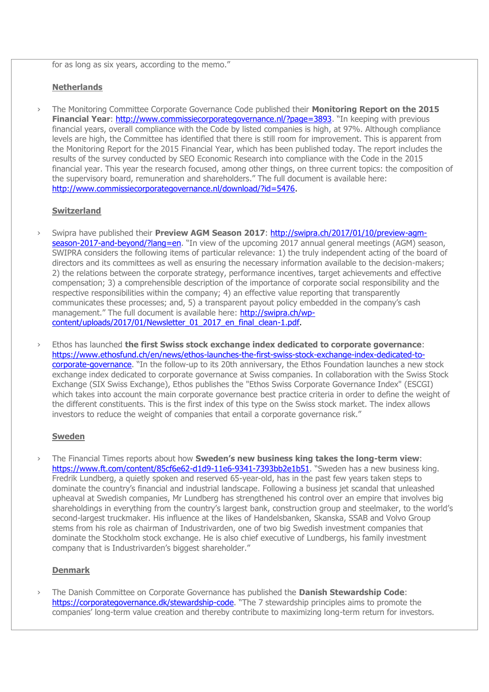for as long as six years, according to the memo."

### **Netherlands**

› The Monitoring Committee Corporate Governance Code published their **Monitoring Report on the 2015 Financial Year:<http://www.commissiecorporategovernance.nl/?page=3893>.** "In keeping with previous financial years, overall compliance with the Code by listed companies is high, at 97%. Although compliance levels are high, the Committee has identified that there is still room for improvement. This is apparent from the Monitoring Report for the 2015 Financial Year, which has been published today. The report includes the results of the survey conducted by SEO Economic Research into compliance with the Code in the 2015 financial year. This year the research focused, among other things, on three current topics: the composition of the supervisory board, remuneration and shareholders." The full document is available here: [http://www.commissiecorporategovernance.nl/download/?id=5476.](http://www.commissiecorporategovernance.nl/download/?id=5476)

#### **Switzerland**

- › Swipra have published their **Preview AGM Season 2017**: [http://swipra.ch/2017/01/10/preview-agm](http://swipra.ch/2017/01/10/preview-agm-season-2017-and-beyond/?lang=en)[season-2017-and-beyond/?lang=en](http://swipra.ch/2017/01/10/preview-agm-season-2017-and-beyond/?lang=en). "In view of the upcoming 2017 annual general meetings (AGM) season, SWIPRA considers the following items of particular relevance: 1) the truly independent acting of the board of directors and its committees as well as ensuring the necessary information available to the decision-makers; 2) the relations between the corporate strategy, performance incentives, target achievements and effective compensation; 3) a comprehensible description of the importance of corporate social responsibility and the respective responsibilities within the company; 4) an effective value reporting that transparently communicates these processes; and, 5) a transparent payout policy embedded in the company's cash management." The full document is available here: [http://swipra.ch/wp](http://swipra.ch/wp-content/uploads/2017/01/Newsletter_01_2017_en_final_clean-1.pdf)[content/uploads/2017/01/Newsletter\\_01\\_2017\\_en\\_final\\_clean-1.pdf.](http://swipra.ch/wp-content/uploads/2017/01/Newsletter_01_2017_en_final_clean-1.pdf)
- › Ethos has launched **the first Swiss stock exchange index dedicated to corporate governance**: [https://www.ethosfund.ch/en/news/ethos-launches-the-first-swiss-stock-exchange-index-dedicated-to](https://www.ethosfund.ch/en/news/ethos-launches-the-first-swiss-stock-exchange-index-dedicated-to-corporate-governance)[corporate-governance](https://www.ethosfund.ch/en/news/ethos-launches-the-first-swiss-stock-exchange-index-dedicated-to-corporate-governance). "In the follow-up to its 20th anniversary, the Ethos Foundation launches a new stock exchange index dedicated to corporate governance at Swiss companies. In collaboration with the Swiss Stock Exchange (SIX Swiss Exchange), Ethos publishes the "Ethos Swiss Corporate Governance Index" (ESCGI) which takes into account the main corporate governance best practice criteria in order to define the weight of the different constituents. This is the first index of this type on the Swiss stock market. The index allows investors to reduce the weight of companies that entail a corporate governance risk."

#### **Sweden**

› The Financial Times reports about how **Sweden's new business king takes the long-term view**: [https://www.ft.com/content/85cf6e62-d1d9-11e6-9341-7393bb2e1b51.](https://www.ft.com/content/85cf6e62-d1d9-11e6-9341-7393bb2e1b51) "Sweden has a new business king. Fredrik Lundberg, a quietly spoken and reserved 65-year-old, has in the past few years taken steps to dominate the country's financial and industrial landscape. Following a business jet scandal that unleashed upheaval at Swedish companies, Mr Lundberg has strengthened his control over an empire that involves big shareholdings in everything from the country's largest bank, construction group and steelmaker, to the world's second-largest truckmaker. His influence at the likes of Handelsbanken, Skanska, SSAB and Volvo Group stems from his role as chairman of Industrivarden, one of two big Swedish investment companies that dominate the Stockholm stock exchange. He is also chief executive of Lundbergs, his family investment company that is Industrivarden's biggest shareholder."

## **Denmark**

› The Danish Committee on Corporate Governance has published the **Danish Stewardship Code**: <https://corporategovernance.dk/stewardship-code>. "The 7 stewardship principles aims to promote the companies' long-term value creation and thereby contribute to maximizing long-term return for investors.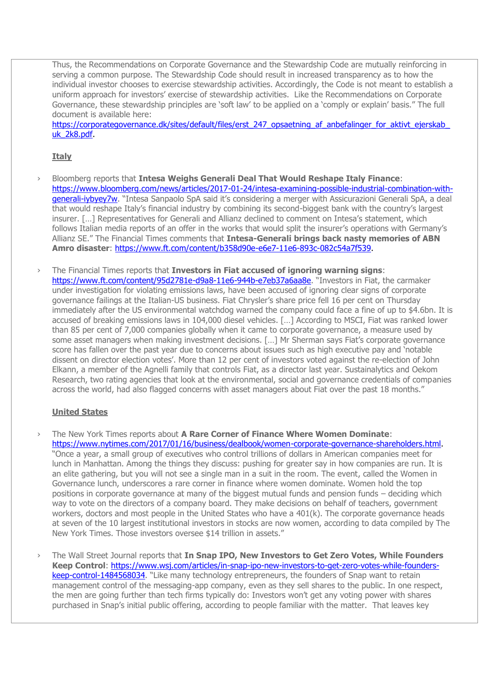Thus, the Recommendations on Corporate Governance and the Stewardship Code are mutually reinforcing in serving a common purpose. The Stewardship Code should result in increased transparency as to how the individual investor chooses to exercise stewardship activities. Accordingly, the Code is not meant to establish a uniform approach for investors' exercise of stewardship activities. Like the Recommendations on Corporate Governance, these stewardship principles are 'soft law' to be applied on a 'comply or explain' basis." The full document is available here:

https://corporategovernance.dk/sites/default/files/erst\_247\_opsaetning\_af\_anbefalinger\_for\_aktivt\_ejerskab [uk\\_2k8.pdf.](https://corporategovernance.dk/sites/default/files/erst_247_opsaetning_af_anbefalinger_for_aktivt_ejerskab_uk_2k8.pdf)

## **Italy**

- › Bloomberg reports that **Intesa Weighs Generali Deal That Would Reshape Italy Finance**: [https://www.bloomberg.com/news/articles/2017-01-24/intesa-examining-possible-industrial-combination-with](https://www.bloomberg.com/news/articles/2017-01-24/intesa-examining-possible-industrial-combination-with-generali-iybyey7w)[generali-iybyey7w](https://www.bloomberg.com/news/articles/2017-01-24/intesa-examining-possible-industrial-combination-with-generali-iybyey7w). "Intesa Sanpaolo SpA said it's considering a merger with Assicurazioni Generali SpA, a deal that would reshape Italy's financial industry by combining its second-biggest bank with the country's largest insurer. […] Representatives for Generali and Allianz declined to comment on Intesa's statement, which follows Italian media reports of an offer in the works that would split the insurer's operations with Germany's Allianz SE." The Financial Times comments that **Intesa-Generali brings back nasty memories of ABN Amro disaster**: [https://www.ft.com/content/b358d90e-e6e7-11e6-893c-082c54a7f539.](https://www.ft.com/content/b358d90e-e6e7-11e6-893c-082c54a7f539)
- › The Financial Times reports that **Investors in Fiat accused of ignoring warning signs**: <https://www.ft.com/content/95d2781e-d9a8-11e6-944b-e7eb37a6aa8e>. "Investors in Fiat, the carmaker under investigation for violating emissions laws, have been accused of ignoring clear signs of corporate governance failings at the Italian-US business. Fiat Chrysler's share price fell 16 per cent on Thursday immediately after the US environmental watchdog warned the company could face a fine of up to \$4.6bn. It is accused of breaking emissions laws in 104,000 diesel vehicles. […] According to MSCI, Fiat was ranked lower than 85 per cent of 7,000 companies globally when it came to corporate governance, a measure used by some asset managers when making investment decisions. […] Mr Sherman says Fiat's corporate governance score has fallen over the past year due to concerns about issues such as high executive pay and 'notable dissent on director election votes'. More than 12 per cent of investors voted against the re-election of John Elkann, a member of the Agnelli family that controls Fiat, as a director last year. Sustainalytics and Oekom Research, two rating agencies that look at the environmental, social and governance credentials of companies across the world, had also flagged concerns with asset managers about Fiat over the past 18 months."

# **United States**

- › The New York Times reports about **A Rare Corner of Finance Where Women Dominate**: [https://www.nytimes.com/2017/01/16/business/dealbook/women-corporate-governance-shareholders.html.](https://www.nytimes.com/2017/01/16/business/dealbook/women-corporate-governance-shareholders.html) "Once a year, a small group of executives who control trillions of dollars in American companies meet for lunch in Manhattan. Among the things they discuss: pushing for greater say in how companies are run. It is an elite gathering, but you will not see a single man in a suit in the room. The event, called the Women in Governance lunch, underscores a rare corner in finance where women dominate. Women hold the top positions in corporate governance at many of the biggest mutual funds and pension funds – deciding which way to vote on the directors of a company board. They make decisions on behalf of teachers, government workers, doctors and most people in the United States who have a 401(k). The corporate governance heads at seven of the 10 largest institutional investors in stocks are now women, according to data compiled by The New York Times. Those investors oversee \$14 trillion in assets."
- › The Wall Street Journal reports that **In Snap IPO, New Investors to Get Zero Votes, While Founders Keep Control**: [https://www.wsj.com/articles/in-snap-ipo-new-investors-to-get-zero-votes-while-founders](https://www.wsj.com/articles/in-snap-ipo-new-investors-to-get-zero-votes-while-founders-keep-control-1484568034)[keep-control-1484568034](https://www.wsj.com/articles/in-snap-ipo-new-investors-to-get-zero-votes-while-founders-keep-control-1484568034). "Like many technology entrepreneurs, the founders of Snap want to retain management control of the messaging-app company, even as they sell shares to the public. In one respect, the men are going further than tech firms typically do: Investors won't get any voting power with shares purchased in Snap's initial public offering, according to people familiar with the matter. That leaves key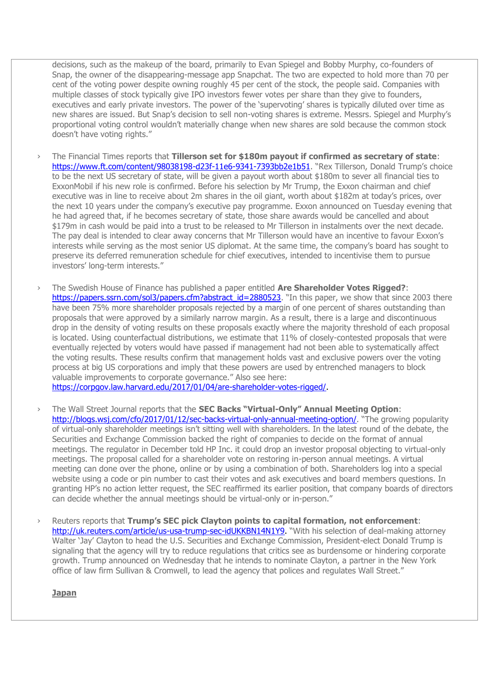decisions, such as the makeup of the board, primarily to Evan Spiegel and Bobby Murphy, co-founders of Snap, the owner of the disappearing-message app Snapchat. The two are expected to hold more than 70 per cent of the voting power despite owning roughly 45 per cent of the stock, the people said. Companies with multiple classes of stock typically give IPO investors fewer votes per share than they give to founders, executives and early private investors. The power of the 'supervoting' shares is typically diluted over time as new shares are issued. But Snap's decision to sell non-voting shares is extreme. Messrs. Spiegel and Murphy's proportional voting control wouldn't materially change when new shares are sold because the common stock doesn't have voting rights."

- › The Financial Times reports that **Tillerson set for \$180m payout if confirmed as secretary of state**: <https://www.ft.com/content/98038198-d23f-11e6-9341-7393bb2e1b51>. "Rex Tillerson, Donald Trump's choice to be the next US secretary of state, will be given a payout worth about \$180m to sever all financial ties to ExxonMobil if his new role is confirmed. Before his selection by Mr Trump, the Exxon chairman and chief executive was in line to receive about 2m shares in the oil giant, worth about \$182m at today's prices, over the next 10 years under the company's executive pay programme. Exxon announced on Tuesday evening that he had agreed that, if he becomes secretary of state, those share awards would be cancelled and about \$179m in cash would be paid into a trust to be released to Mr Tillerson in instalments over the next decade. The pay deal is intended to clear away concerns that Mr Tillerson would have an incentive to favour Exxon's interests while serving as the most senior US diplomat. At the same time, the company's board has sought to preserve its deferred remuneration schedule for chief executives, intended to incentivise them to pursue investors' long-term interests."
- › The Swedish House of Finance has published a paper entitled **Are Shareholder Votes Rigged?**: [https://papers.ssrn.com/sol3/papers.cfm?abstract\\_id=2880523](https://papers.ssrn.com/sol3/papers.cfm?abstract_id=2880523). "In this paper, we show that since 2003 there have been 75% more shareholder proposals rejected by a margin of one percent of shares outstanding than proposals that were approved by a similarly narrow margin. As a result, there is a large and discontinuous drop in the density of voting results on these proposals exactly where the majority threshold of each proposal is located. Using counterfactual distributions, we estimate that 11% of closely-contested proposals that were eventually rejected by voters would have passed if management had not been able to systematically affect the voting results. These results confirm that management holds vast and exclusive powers over the voting process at big US corporations and imply that these powers are used by entrenched managers to block valuable improvements to corporate governance." Also see here: [https://corpgov.law.harvard.edu/2017/01/04/are-shareholder-votes-rigged/.](https://corpgov.law.harvard.edu/2017/01/04/are-shareholder-votes-rigged/)

› The Wall Street Journal reports that the **SEC Backs "Virtual-Only" Annual Meeting Option**: <http://blogs.wsj.com/cfo/2017/01/12/sec-backs-virtual-only-annual-meeting-option/>. "The growing popularity of virtual-only shareholder meetings isn't sitting well with shareholders. In the latest round of the debate, the Securities and Exchange Commission backed the right of companies to decide on the format of annual meetings. The regulator in December told HP Inc. it could drop an investor proposal objecting to virtual-only meetings. The proposal called for a shareholder vote on restoring in-person annual meetings. A virtual meeting can done over the phone, online or by using a combination of both. Shareholders log into a special website using a code or pin number to cast their votes and ask executives and board members questions. In granting HP's no action letter request, the SEC reaffirmed its earlier position, that company boards of directors

can decide whether the annual meetings should be virtual-only or in-person."

› Reuters reports that **Trump's SEC pick Clayton points to capital formation, not enforcement**: [http://uk.reuters.com/article/us-usa-trump-sec-idUKKBN14N1Y9.](http://uk.reuters.com/article/us-usa-trump-sec-idUKKBN14N1Y9) "With his selection of deal-making attorney Walter 'Jay' Clayton to head the U.S. Securities and Exchange Commission, President-elect Donald Trump is signaling that the agency will try to reduce regulations that critics see as burdensome or hindering corporate growth. Trump announced on Wednesday that he intends to nominate Clayton, a partner in the New York office of law firm Sullivan & Cromwell, to lead the agency that polices and regulates Wall Street."

**Japan**